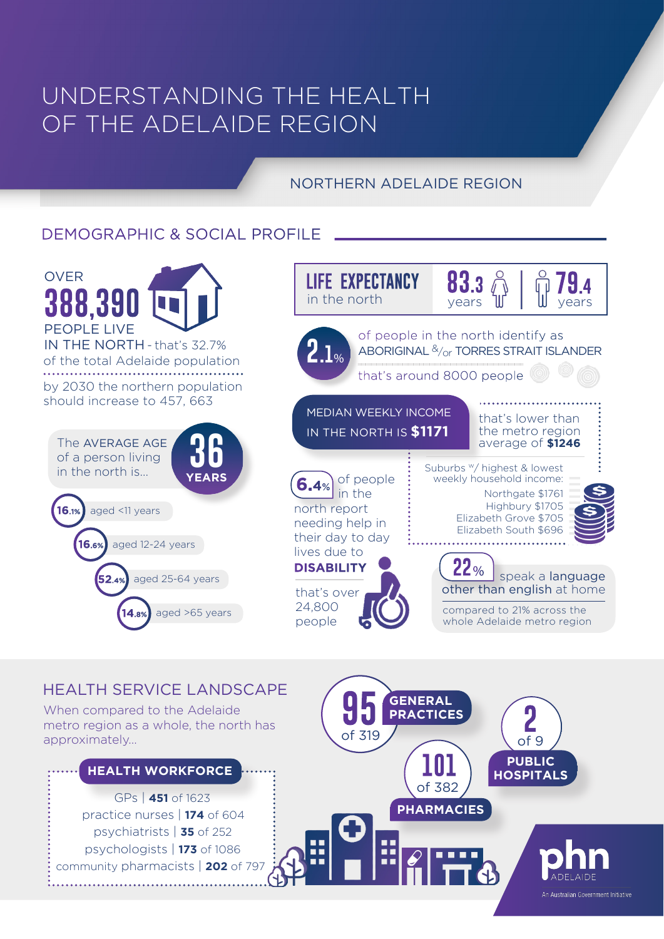# UNDERSTANDING THE HEALTH OF THE ADELAIDE REGION

## NORTHERN ADELAIDE REGION

### DEMOGRAPHIC & SOCIAL PROFILE



### HEALTH SERVICE LANDSCAPE

When compared to the Adelaide metro region as a whole, the north has approximately...

#### **HEALTH WORKFORCE**

GPs | **451** of 1623 psychiatrists | **35** of 252 psychologists | **173** of 1086 community pharmacists | 202 of 79<sup>7</sup> practice nurses | **174** of 604